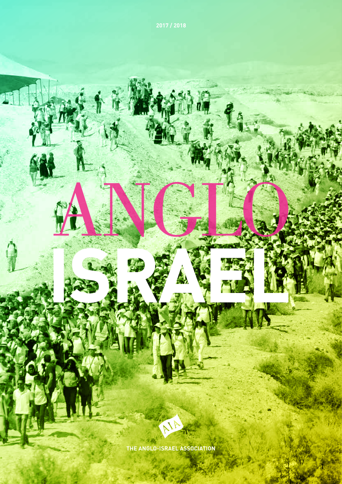**THE ANGLO-ISRAEL ASSOCIATION**

 $\mathbf{v}$ 

1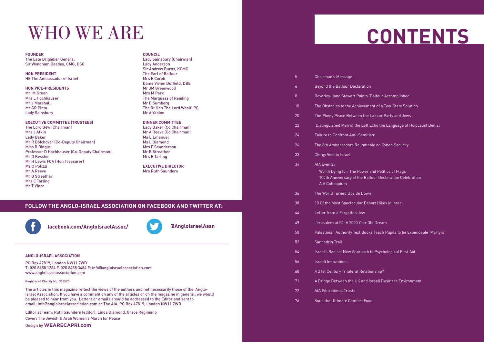# **ANGLO-ISRAEL ASSOCIATION**

PO Box 47819, London NW11 7WD T: 020 8458 1284 F. 020 8458 3484 E: info@angloisraelassociation.com www.angloisraelassociation.com

Registered Charity No. 313523

The articles in this magazine reflect the views of the authors and not necessarily those of the Anglo-Israel Association. If you have a comment on any of the articles or on the magazine in general, we would be pleased to hear from you. Letters or emails should be addressed to the Editor and sent to email: info@angloisraelassociation.com or The AIA, PO Box 47819, London NW11 7WD

Editorial Team: Ruth Saunders (editor), Linda Diamond, Grace Reginiano

Cover: The Jewish & Arab Women's March for Peace

Design by **WEARECAPRI.com**

# **FOUNDER**

The Late Brigadier General Sir Wyndham Deedes, CMG, DSO

### **HON PRESIDENT** HE The Ambassador of Israel

## **HON VICE-PRESIDENTS**

Mr M Green Mrs L Hochhauser Mr J Marshall Mr GR Pinto Lady Sainsbury

# **EXECUTIVE COMMITTEE (TRUSTEES)**

The Lord Bew (Chairman) Mrs J Atkin Lady Baker Mr R Bolchover (Co-Deputy Chairman) Miss B Dingle Professor D Hochhauser (Co-Deputy Chairman) Mr D Kessler Mr H Lewis FCA (Hon Treasurer) Ms O Polizzi Mr A Reeve Mr B Streather Mrs E Tarling Mr T Vince

## **COUNCIL**

Lady Sainsbury (Chairman) Lady Anderson Sir Andrew Burns, KCMG The Earl of Balfour Mrs E Corob Dame Vivien Duffield, DBE Mr JM Greenwood Mrs M Park The Marquess of Reading Mr D Sumberg The Rt Hon The Lord Woolf, PC Mr A Yablon

# **DINNER COMMITTEE**

Lady Baker (Co Chairman) Mr A Reeve (Co Chairman) Ms E Emanuel Ms L Diamond Mrs F Saunderson Mr B Streather Mrs E Tarling

### **EXECUTIVE DIRECTOR** Mrs Ruth Saunders

# WHO WE ARE

# **FOLLOW THE ANGLO-ISRAEL ASSOCIATION ON FACEBOOK AND TWITTER AT:**



**facebook.com/AngloIsraelAssoc/ @AngloIsraelAssn**



Chairman's Message

# Beyond the Balfour Declaration

- Beverley-Jane Stewart Paints 'Balfour Accomplished'
	-
	-
	-
	-
	-

# The Obstacles to the Achievement of a Two-State Solution The Phony Peace Between the Labour Party and Jews 'Distinguished Men of the Left Echo the Language of Holocaust Denial' Failure to Confront Anti-Semitism The 8th Ambassadors Roundtable on Cyber-Security Clergy Visit to Israel AIA Events: Worth Dying for: The Power and Politics of Flags 100th Anniversary of the Balfour Declaration Celebration AIA Colloquium

The World Turned Upside Down 36

- 10 Of the Most Spectacular Desert Hikes in Israel 38
- Letter from a Forgotten Jew 44
- Jerusalem at 50: A 2000 Year Old Dream 49
	- Palestinian Authority Text Books Teach Pupils to be Expendable 'Martyrs'
- Sanhedrin Trail 52
- Israel's Radical New Approach to Psychological First Aid 54
- Israeli Innovations 56
- A 21st Century Trilateral Relationship? 68
- A Bridge Between the UK and Israeli Business Environment 71
- AIA Educational Trusts 72
- Soup the Ultimate Comfort Food 76

5

6

8

10

20

22

24

26

33

34

50

# **CONTENTS**